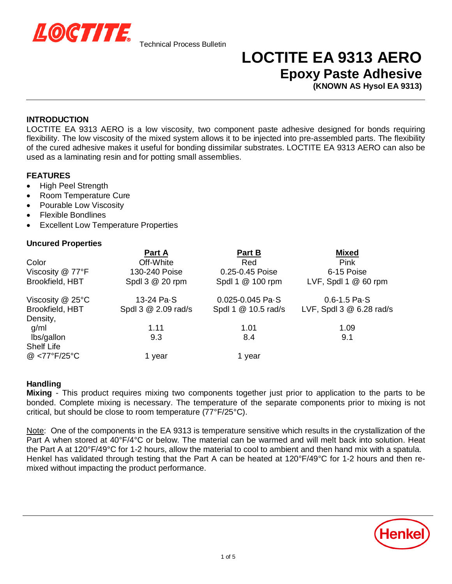

## **LOCTITE EA 9313 AERO Epoxy Paste Adhesive**

**(KNOWN AS Hysol EA 9313)**

#### **INTRODUCTION**

LOCTITE EA 9313 AERO is a low viscosity, two component paste adhesive designed for bonds requiring flexibility. The low viscosity of the mixed system allows it to be injected into pre-assembled parts. The flexibility of the cured adhesive makes it useful for bonding dissimilar substrates. LOCTITE EA 9313 AERO can also be used as a laminating resin and for potting small assemblies.

### **FEATURES**

- High Peel Strength
- Room Temperature Cure
- Pourable Low Viscosity
- **Flexible Bondlines**
- x Excellent Low Temperature Properties

#### **Uncured Properties**

|                       | Part A              | Part B                       | <b>Mixed</b>                |
|-----------------------|---------------------|------------------------------|-----------------------------|
| Color                 | Off-White           | Red                          | <b>Pink</b>                 |
| Viscosity @ 77°F      | 130-240 Poise       | 0.25-0.45 Poise              | 6-15 Poise                  |
| Brookfield, HBT       | Spdl 3 @ 20 rpm     | Spdl 1 @ 100 rpm             | LVF, SpdI $1 \& 60$ rpm     |
| Viscosity $@$ 25 $°C$ | 13-24 Pa-S          | $0.025 - 0.045$ Pa $\cdot$ S | $0.6 - 1.5$ Pa $\cdot$ S    |
| Brookfield, HBT       | Spdl 3 @ 2.09 rad/s | Spdl 1 @ 10.5 rad/s          | LVF, Spdl $3 \& 6.28$ rad/s |
| Density,              |                     |                              |                             |
| g/ml                  | 1.11                | 1.01                         | 1.09                        |
| lbs/gallon            | 9.3                 | 8.4                          | 9.1                         |
| <b>Shelf Life</b>     |                     |                              |                             |
| @ <77°F/25°C          | year                | 1 year                       |                             |

#### **Handling**

**Mixing** - This product requires mixing two components together just prior to application to the parts to be bonded. Complete mixing is necessary. The temperature of the separate components prior to mixing is not critical, but should be close to room temperature (77°F/25°C).

Note: One of the components in the EA 9313 is temperature sensitive which results in the crystallization of the Part A when stored at 40°F/4°C or below. The material can be warmed and will melt back into solution. Heat the Part A at 120°F/49°C for 1-2 hours, allow the material to cool to ambient and then hand mix with a spatula. Henkel has validated through testing that the Part A can be heated at 120°F/49°C for 1-2 hours and then remixed without impacting the product performance.

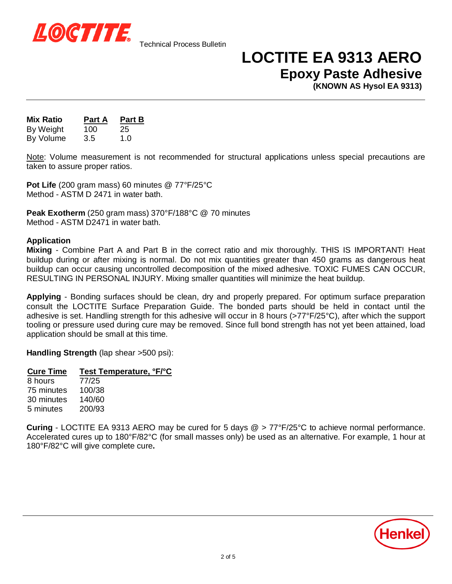

## **LOCTITE EA 9313 AERO Epoxy Paste Adhesive**

**(KNOWN AS Hysol EA 9313)**

**Mix Ratio Part A Part B** By Weight 100 25 By Volume 3.5 1.0

Note: Volume measurement is not recommended for structural applications unless special precautions are taken to assure proper ratios.

**Pot Life** (200 gram mass) 60 minutes @ 77°F/25°C Method - ASTM D 2471 in water bath.

**Peak Exotherm** (250 gram mass) 370°F/188°C @ 70 minutes Method - ASTM D2471 in water bath.

#### **Application**

**Mixing** - Combine Part A and Part B in the correct ratio and mix thoroughly. THIS IS IMPORTANT! Heat buildup during or after mixing is normal. Do not mix quantities greater than 450 grams as dangerous heat buildup can occur causing uncontrolled decomposition of the mixed adhesive. TOXIC FUMES CAN OCCUR, RESULTING IN PERSONAL INJURY. Mixing smaller quantities will minimize the heat buildup.

**Applying** - Bonding surfaces should be clean, dry and properly prepared. For optimum surface preparation consult the LOCTITE Surface Preparation Guide. The bonded parts should be held in contact until the adhesive is set. Handling strength for this adhesive will occur in 8 hours (>77°F/25°C), after which the support tooling or pressure used during cure may be removed. Since full bond strength has not yet been attained, load application should be small at this time.

**Handling Strength** (lap shear >500 psi):

#### **Cure Time Test Temperature, °F/°C**

8 hours 77/25 75 minutes 100/38 30 minutes 140/60 5 minutes 200/93

**Curing** - LOCTITE EA 9313 AERO may be cured for 5 days @ > 77°F/25°C to achieve normal performance. Accelerated cures up to 180°F/82°C (for small masses only) be used as an alternative. For example, 1 hour at 180°F/82°C will give complete cure**.**

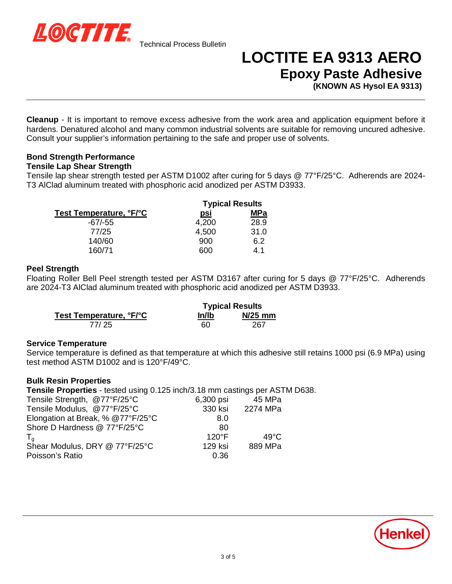

# **LOCTITE EA 9313 AERO Epoxy Paste Adhesive**

**(KNOWN AS Hysol EA 9313)**

**Cleanup** - It is important to remove excess adhesive from the work area and application equipment before it hardens. Denatured alcohol and many common industrial solvents are suitable for removing uncured adhesive. Consult your supplier's information pertaining to the safe and proper use of solvents.

### **Bond Strength Performance**

#### **Tensile Lap Shear Strength**

Tensile lap shear strength tested per ASTM D1002 after curing for 5 days @ 77°F/25°C. Adherends are 2024- T3 AlClad aluminum treated with phosphoric acid anodized per ASTM D3933.

|                         | <b>Typical Results</b> |            |
|-------------------------|------------------------|------------|
| Test Temperature, °F/°C | <u>psi</u>             | <b>MPa</b> |
| $-67/-55$               | 4,200                  | 28.9       |
| 77/25                   | 4,500                  | 31.0       |
| 140/60                  | 900                    | 6.2        |
| 160/71                  | റെറ                    | 4.1        |

#### **Peel Strength**

Floating Roller Bell Peel strength tested per ASTM D3167 after curing for 5 days @ 77°F/25°C. Adherends are 2024-T3 AlClad aluminum treated with phosphoric acid anodized per ASTM D3933.

|                         | <b>Typical Results</b> |           |
|-------------------------|------------------------|-----------|
| Test Temperature, °F/°C | ln/lb                  | $N/25$ mm |
| 77/25                   | 60                     | 267       |

#### **Service Temperature**

Service temperature is defined as that temperature at which this adhesive still retains 1000 psi (6.9 MPa) using test method ASTM D1002 and is 120°F/49°C.

#### **Bulk Resin Properties**

**Tensile Properties** - tested using 0.125 inch/3.18 mm castings per ASTM D638.

| Tensile Strength, @77°F/25°C      | 6,300 psi       | 45 MPa         |
|-----------------------------------|-----------------|----------------|
| Tensile Modulus, @77°F/25°C       | 330 ksi         | 2274 MPa       |
| Elongation at Break, % @77°F/25°C | 8.0             |                |
| Shore D Hardness @ 77°F/25°C      | 80              |                |
|                                   | $120^{\circ}$ F | $49^{\circ}$ C |
| Shear Modulus, DRY @ 77°F/25°C    | 129 ksi         | 889 MPa        |
| Poisson's Ratio                   | 0.36            |                |
|                                   |                 |                |

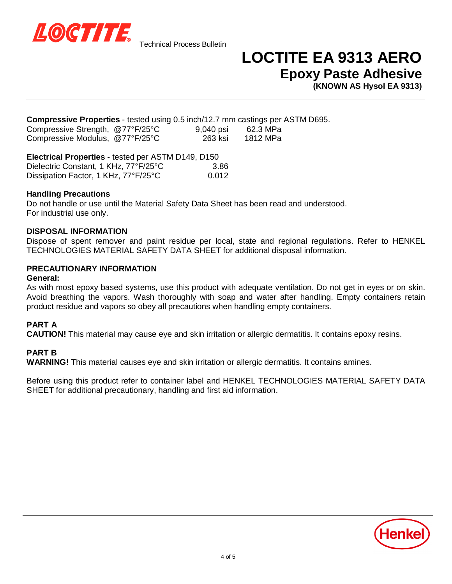

### **LOCTITE EA 9313 AERO Epoxy Paste Adhesive**

**(KNOWN AS Hysol EA 9313)**

**Compressive Properties** - tested using 0.5 inch/12.7 mm castings per ASTM D695.

| Compressive Strength, @77°F/25°C | 9,040 psi | 62.3 MPa |  |
|----------------------------------|-----------|----------|--|
| Compressive Modulus, @77°F/25°C  | -263 ksi  | 1812 MPa |  |

#### **Electrical Properties** - tested per ASTM D149, D150  $\frac{1}{2}$

| Dielectric Constant, 1 KHZ, 11°F/25°C | 3.86  |
|---------------------------------------|-------|
| Dissipation Factor, 1 KHz, 77°F/25°C  | 0.012 |

#### **Handling Precautions**

Do not handle or use until the Material Safety Data Sheet has been read and understood. For industrial use only.

#### **DISPOSAL INFORMATION**

Dispose of spent remover and paint residue per local, state and regional regulations. Refer to HENKEL TECHNOLOGIES MATERIAL SAFETY DATA SHEET for additional disposal information.

### **PRECAUTIONARY INFORMATION**

#### **General:**

As with most epoxy based systems, use this product with adequate ventilation. Do not get in eyes or on skin. Avoid breathing the vapors. Wash thoroughly with soap and water after handling. Empty containers retain product residue and vapors so obey all precautions when handling empty containers.

#### **PART A**

**CAUTION!** This material may cause eye and skin irritation or allergic dermatitis. It contains epoxy resins.

#### **PART B**

**WARNING!** This material causes eye and skin irritation or allergic dermatitis. It contains amines.

Before using this product refer to container label and HENKEL TECHNOLOGIES MATERIAL SAFETY DATA SHEET for additional precautionary, handling and first aid information.